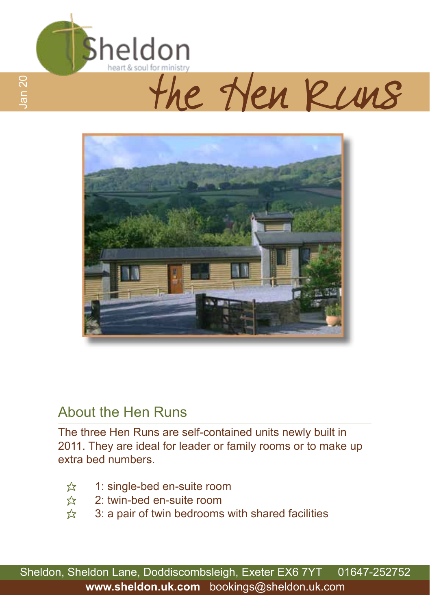

# Heart&soulforministry



#### About the Hen Runs

The three Hen Runs are self-contained units newly built in 2011. They are ideal for leader or family rooms or to make up extra bed numbers.

- $\hat{\mathbb{X}}$  1: single-bed en-suite room<br> $\hat{\mathbb{X}}$  2: twin-bed en-suite room
- $2:$  twin-bed en-suite room
- $\hat{x}$  3: a pair of twin bedrooms with shared facilities

Sheldon, Sheldon Lane, Doddiscombsleigh, Exeter EX6 7YT 01647-252752 **www.sheldon.uk.com** bookings@sheldon.uk.com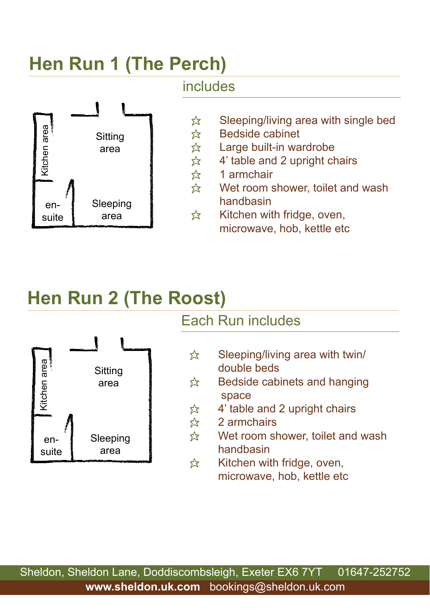## **Hen Run 1 (The Perch)**



#### includes

- $\hat{\mathbb{X}}$  Sleeping/living area with single bed<br>  $\hat{\mathbb{X}}$  Bedside cabinet Bedside cabinet
	-
- $\hat{\mathcal{R}}$  Large built-in wardrobe<br> $\hat{\mathcal{R}}$  4' table and 2 upright ch  $\hat{\chi}$  4' table and 2 upright chairs<br> $\hat{\chi}$  1 armchair
	- 1 armchair
- $\hat{x}$  Wet room shower, toilet and wash handbasin
- $\hat{\mathbf{x}}$  Kitchen with fridge, oven, microwave, hob, kettle etc

## **Hen Run 2 (The Roost)**



### Each Run includes

- $\hat{\mathbf{x}}$  Sleeping/living area with twin/ double beds
- $\hat{\mathbb{X}}$  Bedside cabinets and hanging space
- $\hat{\mathbf{x}}$  4' table and 2 upright chairs
- $\approx$  2 armchairs
- $\hat{x}$  Wet room shower, toilet and wash handbasin
- $\hat{x}$  Kitchen with fridge, oven, microwave, hob, kettle etc

Sheldon, Sheldon Lane, Doddiscombsleigh, Exeter EX6 7YT 01647-252752 **www.sheldon.uk.com** bookings@sheldon.uk.com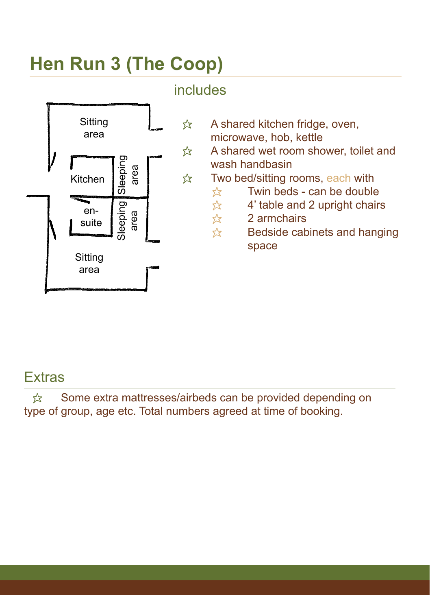## **Hen Run 3 (The Coop)**



#### **Extras**

 $\hat{\mathbb{X}}$  Some extra mattresses/airbeds can be provided depending on type of group, age etc. Total numbers agreed at time of booking.